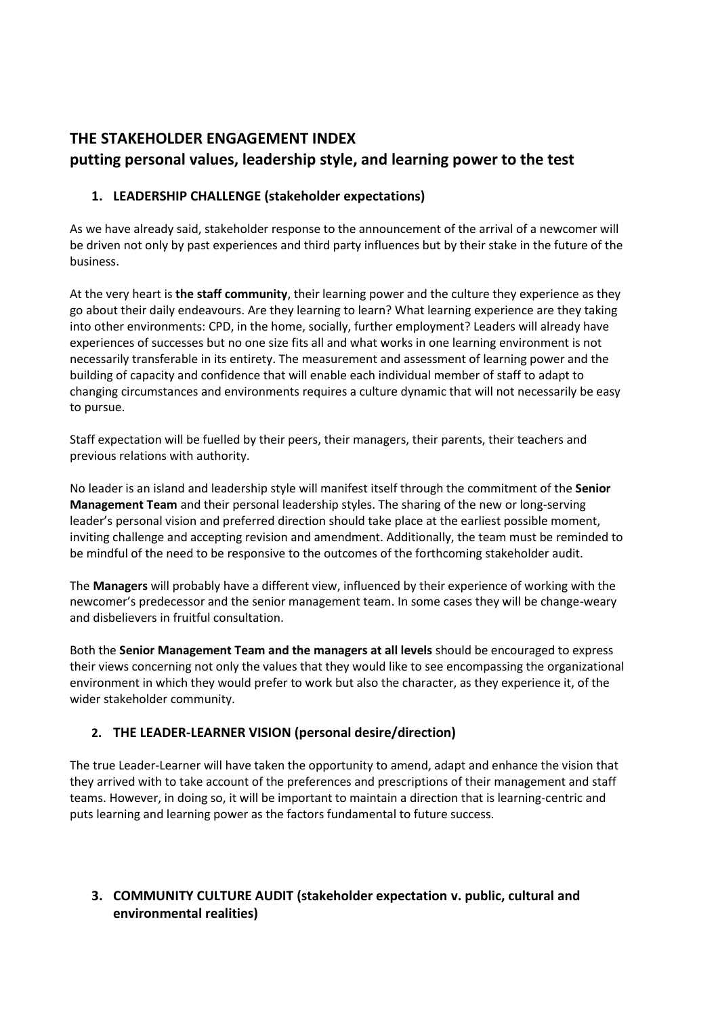# **THE STAKEHOLDER ENGAGEMENT INDEX putting personal values, leadership style, and learning power to the test**

# **1. LEADERSHIP CHALLENGE (stakeholder expectations)**

As we have already said, stakeholder response to the announcement of the arrival of a newcomer will be driven not only by past experiences and third party influences but by their stake in the future of the business.

At the very heart is **the staff community**, their learning power and the culture they experience as they go about their daily endeavours. Are they learning to learn? What learning experience are they taking into other environments: CPD, in the home, socially, further employment? Leaders will already have experiences of successes but no one size fits all and what works in one learning environment is not necessarily transferable in its entirety. The measurement and assessment of learning power and the building of capacity and confidence that will enable each individual member of staff to adapt to changing circumstances and environments requires a culture dynamic that will not necessarily be easy to pursue.

Staff expectation will be fuelled by their peers, their managers, their parents, their teachers and previous relations with authority.

No leader is an island and leadership style will manifest itself through the commitment of the **Senior Management Team** and their personal leadership styles. The sharing of the new or long-serving leader's personal vision and preferred direction should take place at the earliest possible moment, inviting challenge and accepting revision and amendment. Additionally, the team must be reminded to be mindful of the need to be responsive to the outcomes of the forthcoming stakeholder audit.

The **Managers** will probably have a different view, influenced by their experience of working with the newcomer's predecessor and the senior management team. In some cases they will be change-weary and disbelievers in fruitful consultation.

Both the **Senior Management Team and the managers at all levels** should be encouraged to express their views concerning not only the values that they would like to see encompassing the organizational environment in which they would prefer to work but also the character, as they experience it, of the wider stakeholder community.

## **2. THE LEADER-LEARNER VISION (personal desire/direction)**

The true Leader-Learner will have taken the opportunity to amend, adapt and enhance the vision that they arrived with to take account of the preferences and prescriptions of their management and staff teams. However, in doing so, it will be important to maintain a direction that is learning-centric and puts learning and learning power as the factors fundamental to future success.

# **3. COMMUNITY CULTURE AUDIT (stakeholder expectation v. public, cultural and environmental realities)**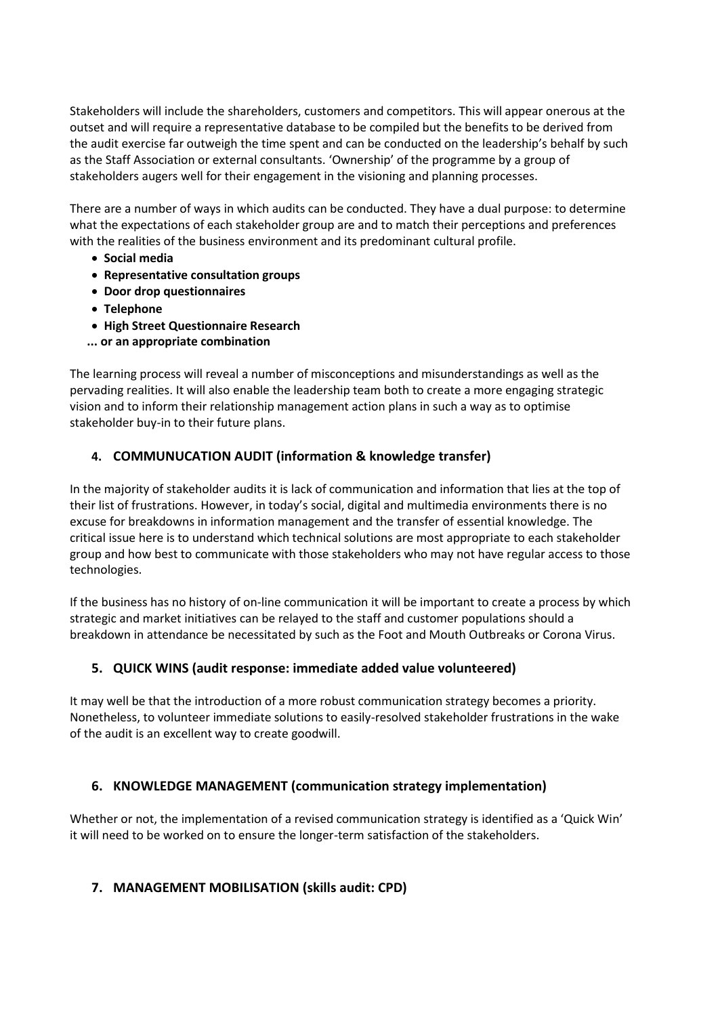Stakeholders will include the shareholders, customers and competitors. This will appear onerous at the outset and will require a representative database to be compiled but the benefits to be derived from the audit exercise far outweigh the time spent and can be conducted on the leadership's behalf by such as the Staff Association or external consultants. 'Ownership' of the programme by a group of stakeholders augers well for their engagement in the visioning and planning processes.

There are a number of ways in which audits can be conducted. They have a dual purpose: to determine what the expectations of each stakeholder group are and to match their perceptions and preferences with the realities of the business environment and its predominant cultural profile.

- **Social media**
- **Representative consultation groups**
- **Door drop questionnaires**
- **Telephone**
- **High Street Questionnaire Research**
- **... or an appropriate combination**

The learning process will reveal a number of misconceptions and misunderstandings as well as the pervading realities. It will also enable the leadership team both to create a more engaging strategic vision and to inform their relationship management action plans in such a way as to optimise stakeholder buy-in to their future plans.

## **4. COMMUNUCATION AUDIT (information & knowledge transfer)**

In the majority of stakeholder audits it is lack of communication and information that lies at the top of their list of frustrations. However, in today's social, digital and multimedia environments there is no excuse for breakdowns in information management and the transfer of essential knowledge. The critical issue here is to understand which technical solutions are most appropriate to each stakeholder group and how best to communicate with those stakeholders who may not have regular access to those technologies.

If the business has no history of on-line communication it will be important to create a process by which strategic and market initiatives can be relayed to the staff and customer populations should a breakdown in attendance be necessitated by such as the Foot and Mouth Outbreaks or Corona Virus.

## **5. QUICK WINS (audit response: immediate added value volunteered)**

It may well be that the introduction of a more robust communication strategy becomes a priority. Nonetheless, to volunteer immediate solutions to easily-resolved stakeholder frustrations in the wake of the audit is an excellent way to create goodwill.

#### **6. KNOWLEDGE MANAGEMENT (communication strategy implementation)**

Whether or not, the implementation of a revised communication strategy is identified as a 'Quick Win' it will need to be worked on to ensure the longer-term satisfaction of the stakeholders.

#### **7. MANAGEMENT MOBILISATION (skills audit: CPD)**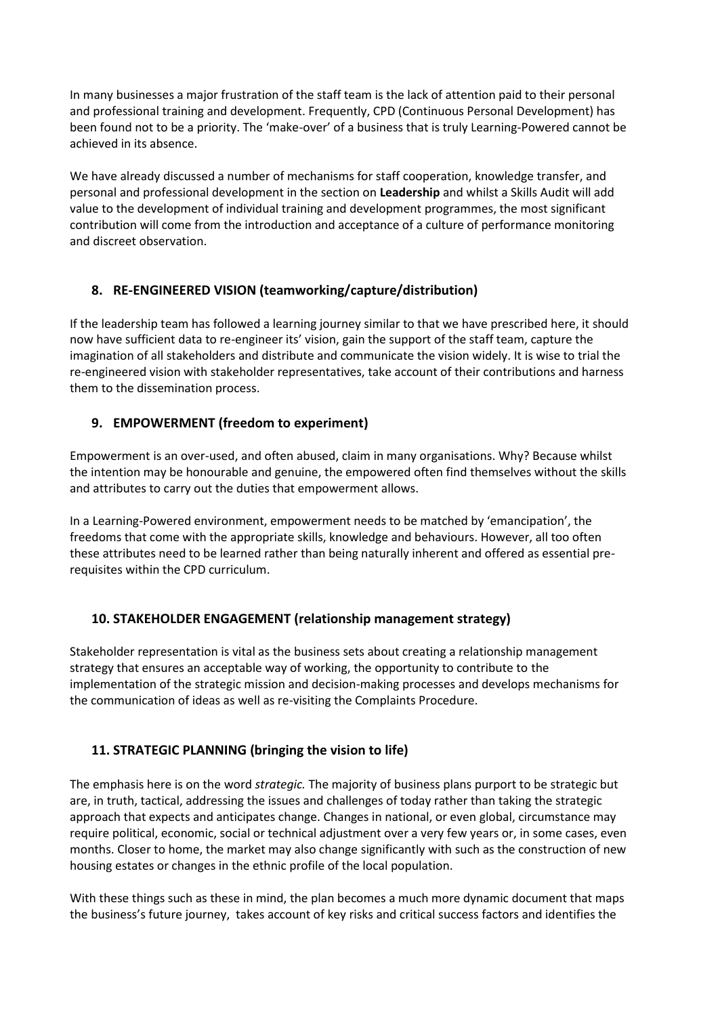In many businesses a major frustration of the staff team is the lack of attention paid to their personal and professional training and development. Frequently, CPD (Continuous Personal Development) has been found not to be a priority. The 'make-over' of a business that is truly Learning-Powered cannot be achieved in its absence.

We have already discussed a number of mechanisms for staff cooperation, knowledge transfer, and personal and professional development in the section on **Leadership** and whilst a Skills Audit will add value to the development of individual training and development programmes, the most significant contribution will come from the introduction and acceptance of a culture of performance monitoring and discreet observation.

# **8. RE-ENGINEERED VISION (teamworking/capture/distribution)**

If the leadership team has followed a learning journey similar to that we have prescribed here, it should now have sufficient data to re-engineer its' vision, gain the support of the staff team, capture the imagination of all stakeholders and distribute and communicate the vision widely. It is wise to trial the re-engineered vision with stakeholder representatives, take account of their contributions and harness them to the dissemination process.

# **9. EMPOWERMENT (freedom to experiment)**

Empowerment is an over-used, and often abused, claim in many organisations. Why? Because whilst the intention may be honourable and genuine, the empowered often find themselves without the skills and attributes to carry out the duties that empowerment allows.

In a Learning-Powered environment, empowerment needs to be matched by 'emancipation', the freedoms that come with the appropriate skills, knowledge and behaviours. However, all too often these attributes need to be learned rather than being naturally inherent and offered as essential prerequisites within the CPD curriculum.

## **10. STAKEHOLDER ENGAGEMENT (relationship management strategy)**

Stakeholder representation is vital as the business sets about creating a relationship management strategy that ensures an acceptable way of working, the opportunity to contribute to the implementation of the strategic mission and decision-making processes and develops mechanisms for the communication of ideas as well as re-visiting the Complaints Procedure.

# **11. STRATEGIC PLANNING (bringing the vision to life)**

The emphasis here is on the word *strategic.* The majority of business plans purport to be strategic but are, in truth, tactical, addressing the issues and challenges of today rather than taking the strategic approach that expects and anticipates change. Changes in national, or even global, circumstance may require political, economic, social or technical adjustment over a very few years or, in some cases, even months. Closer to home, the market may also change significantly with such as the construction of new housing estates or changes in the ethnic profile of the local population.

With these things such as these in mind, the plan becomes a much more dynamic document that maps the business's future journey, takes account of key risks and critical success factors and identifies the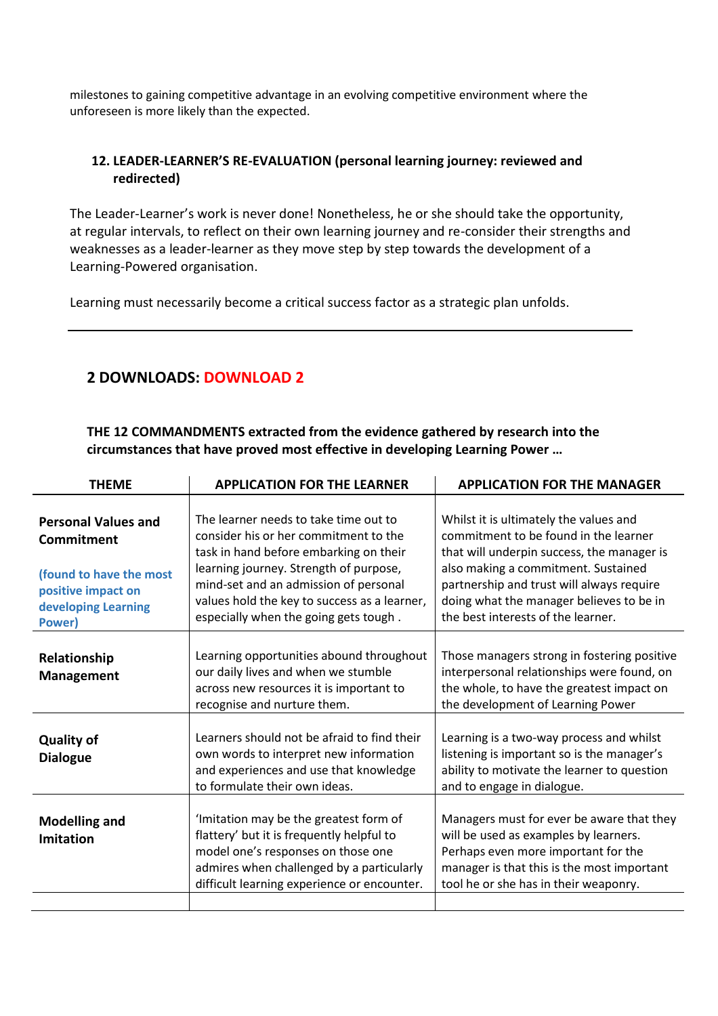milestones to gaining competitive advantage in an evolving competitive environment where the unforeseen is more likely than the expected.

## **12. LEADER-LEARNER'S RE-EVALUATION (personal learning journey: reviewed and redirected)**

The Leader-Learner's work is never done! Nonetheless, he or she should take the opportunity, at regular intervals, to reflect on their own learning journey and re-consider their strengths and weaknesses as a leader-learner as they move step by step towards the development of a Learning-Powered organisation.

Learning must necessarily become a critical success factor as a strategic plan unfolds.

# **2 DOWNLOADS: DOWNLOAD 2**

## **THE 12 COMMANDMENTS extracted from the evidence gathered by research into the circumstances that have proved most effective in developing Learning Power …**

| <b>THEME</b>                                                                   | <b>APPLICATION FOR THE LEARNER</b>                                                                                                                                                                                    | <b>APPLICATION FOR THE MANAGER</b>                                                                                                                                                                               |
|--------------------------------------------------------------------------------|-----------------------------------------------------------------------------------------------------------------------------------------------------------------------------------------------------------------------|------------------------------------------------------------------------------------------------------------------------------------------------------------------------------------------------------------------|
| <b>Personal Values and</b><br>Commitment                                       | The learner needs to take time out to<br>consider his or her commitment to the<br>task in hand before embarking on their                                                                                              | Whilst it is ultimately the values and<br>commitment to be found in the learner<br>that will underpin success, the manager is                                                                                    |
| (found to have the most<br>positive impact on<br>developing Learning<br>Power) | learning journey. Strength of purpose,<br>mind-set and an admission of personal<br>values hold the key to success as a learner,<br>especially when the going gets tough.                                              | also making a commitment. Sustained<br>partnership and trust will always require<br>doing what the manager believes to be in<br>the best interests of the learner.                                               |
| Relationship<br><b>Management</b>                                              | Learning opportunities abound throughout<br>our daily lives and when we stumble<br>across new resources it is important to<br>recognise and nurture them.                                                             | Those managers strong in fostering positive<br>interpersonal relationships were found, on<br>the whole, to have the greatest impact on<br>the development of Learning Power                                      |
| <b>Quality of</b><br><b>Dialogue</b>                                           | Learners should not be afraid to find their<br>own words to interpret new information<br>and experiences and use that knowledge<br>to formulate their own ideas.                                                      | Learning is a two-way process and whilst<br>listening is important so is the manager's<br>ability to motivate the learner to question<br>and to engage in dialogue.                                              |
| <b>Modelling and</b><br><b>Imitation</b>                                       | 'Imitation may be the greatest form of<br>flattery' but it is frequently helpful to<br>model one's responses on those one<br>admires when challenged by a particularly<br>difficult learning experience or encounter. | Managers must for ever be aware that they<br>will be used as examples by learners.<br>Perhaps even more important for the<br>manager is that this is the most important<br>tool he or she has in their weaponry. |
|                                                                                |                                                                                                                                                                                                                       |                                                                                                                                                                                                                  |